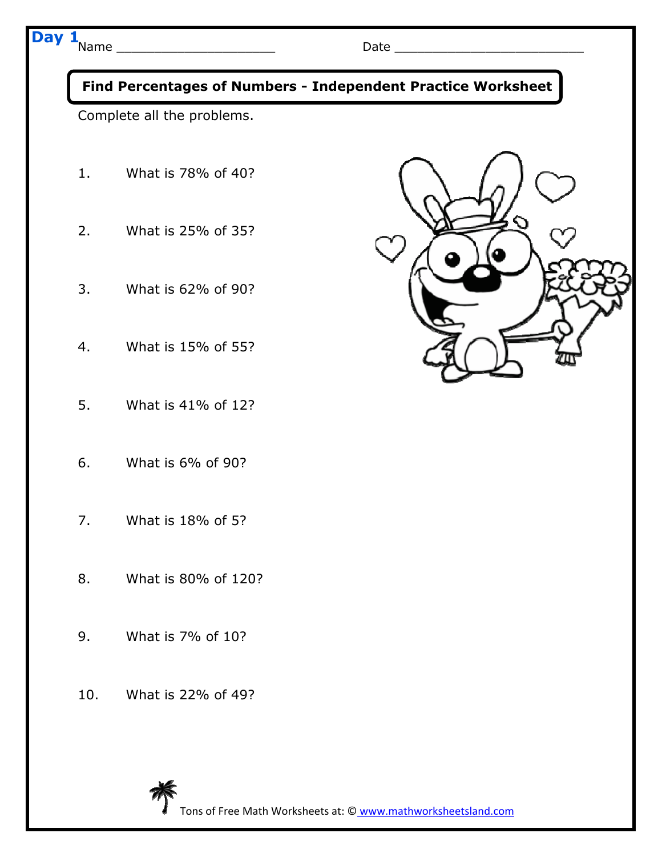## **Day 1**





Tons of Free Math Worksheets at: © www.mathworksheetsland.com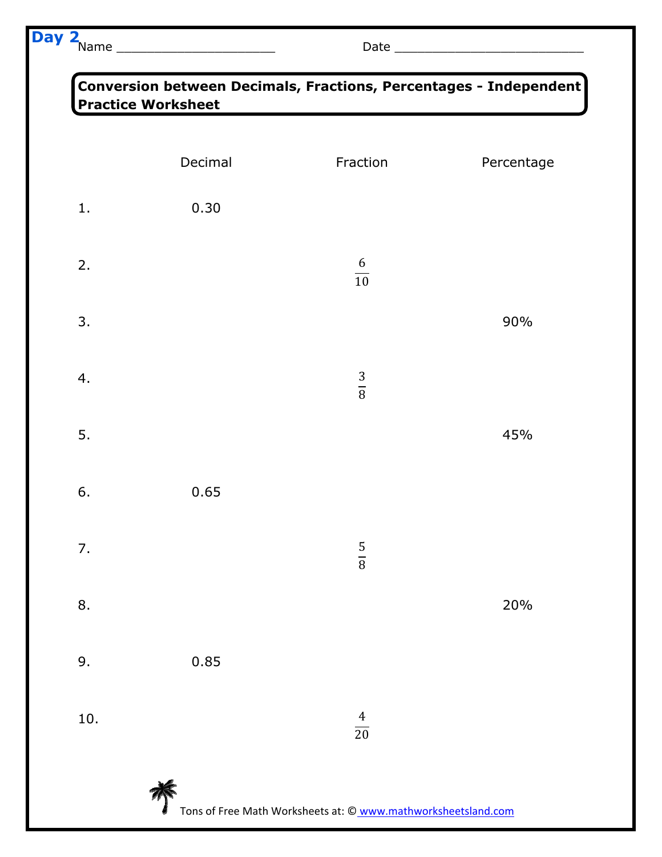## Name \_\_\_\_\_\_\_\_\_\_\_\_\_\_\_\_\_\_\_\_\_ Date \_\_\_\_\_\_\_\_\_\_\_\_\_\_\_\_\_\_\_\_\_\_\_\_\_ **Day 2**

|     | Decimal | Fraction            | Percentage |
|-----|---------|---------------------|------------|
|     |         |                     |            |
| 1.  | 0.30    |                     |            |
| 2.  |         | $\frac{6}{10}$      |            |
| 3.  |         |                     | 90%        |
| 4.  |         | $\frac{3}{8}$       |            |
| 5.  |         |                     | 45%        |
| 6.  | 0.65    |                     |            |
| 7.  |         | 5<br>$\overline{8}$ |            |
| 8.  |         |                     | 20%        |
| 9.  | 0.85    |                     |            |
| 10. |         | $\frac{4}{20}$      |            |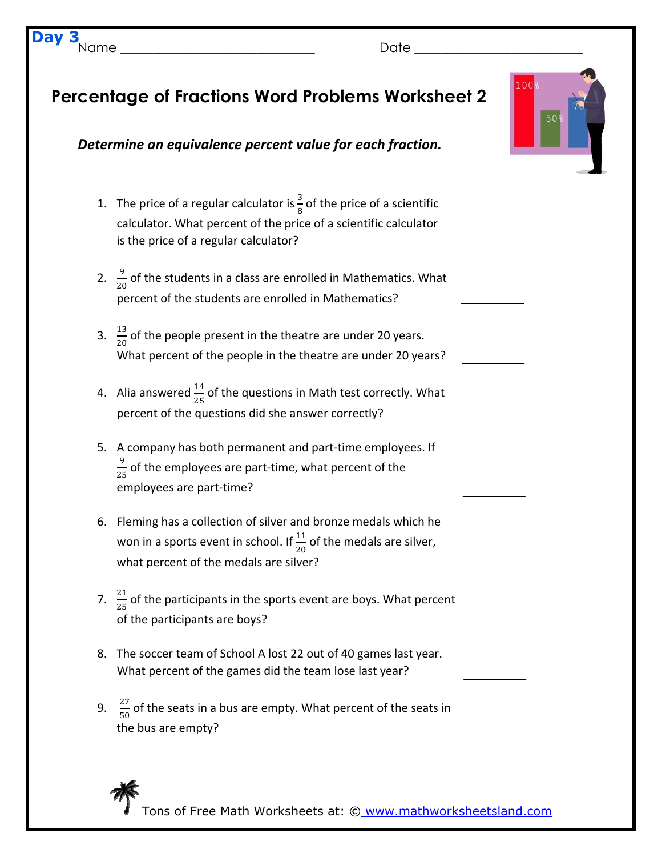|    | <b>Percentage of Fractions Word Problems Worksheet 2</b>                                                                                                                                        | 100%<br>50 <sup>9</sup> |  |
|----|-------------------------------------------------------------------------------------------------------------------------------------------------------------------------------------------------|-------------------------|--|
|    | Determine an equivalence percent value for each fraction.                                                                                                                                       |                         |  |
|    | 1. The price of a regular calculator is $\frac{3}{8}$ of the price of a scientific<br>calculator. What percent of the price of a scientific calculator<br>is the price of a regular calculator? |                         |  |
|    | 2. $\frac{9}{20}$ of the students in a class are enrolled in Mathematics. What<br>percent of the students are enrolled in Mathematics?                                                          |                         |  |
|    | 3. $\frac{13}{20}$ of the people present in the theatre are under 20 years.<br>What percent of the people in the theatre are under 20 years?                                                    |                         |  |
|    | 4. Alia answered $\frac{14}{25}$ of the questions in Math test correctly. What<br>percent of the questions did she answer correctly?                                                            |                         |  |
|    | 5. A company has both permanent and part-time employees. If<br>$\frac{9}{25}$ of the employees are part-time, what percent of the<br>employees are part-time?                                   |                         |  |
|    | 6. Fleming has a collection of silver and bronze medals which he<br>won in a sports event in school. If $\frac{11}{20}$ of the medals are silver,<br>what percent of the medals are silver?     |                         |  |
|    | 7. $\frac{21}{25}$ of the participants in the sports event are boys. What percent<br>of the participants are boys?                                                                              |                         |  |
| 8. | The soccer team of School A lost 22 out of 40 games last year.<br>What percent of the games did the team lose last year?                                                                        |                         |  |
|    | 9. $\frac{27}{50}$ of the seats in a bus are empty. What percent of the seats in<br>the bus are empty?                                                                                          |                         |  |
|    |                                                                                                                                                                                                 |                         |  |

Tons of Free Math Worksheets at: © www.mathworksheetsland.com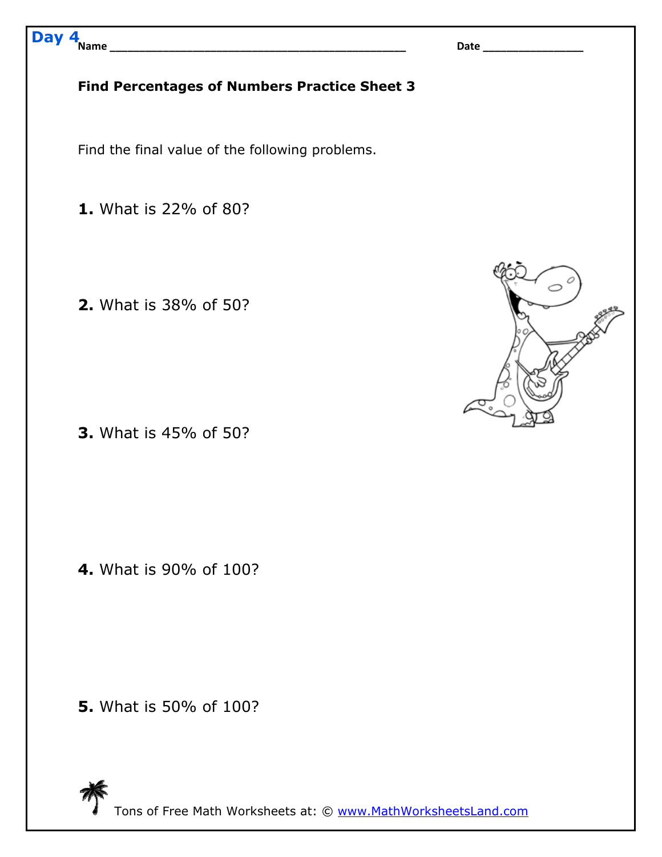Tons of Free Math Worksheets at: © www.MathWorksheetsLand.com